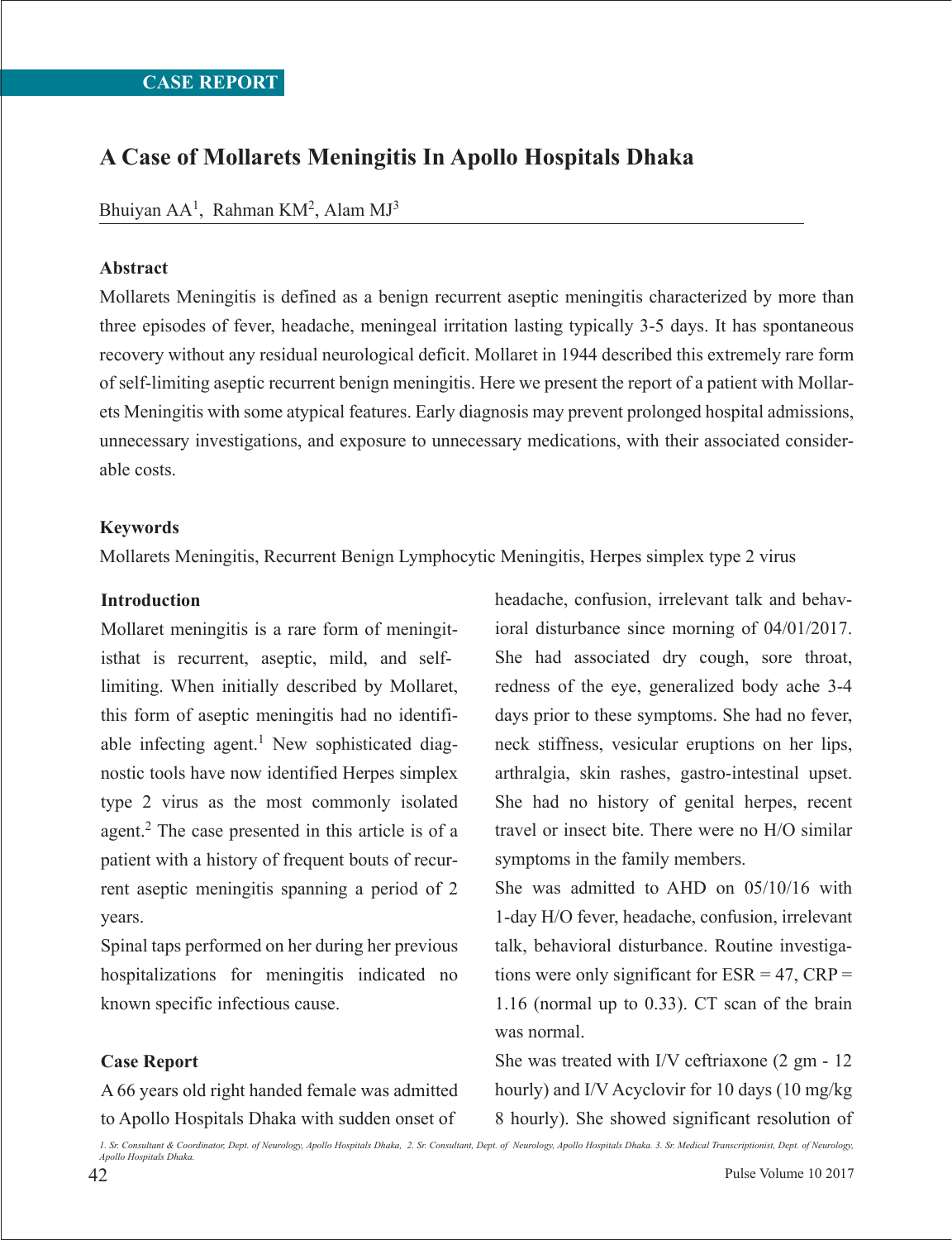# **A Case of Mollarets Meningitis In Apollo Hospitals Dhaka**

Bhuiyan AA<sup>1</sup>, Rahman KM<sup>2</sup>, Alam MJ<sup>3</sup>

### **Abstract**

Mollarets Meningitis is defined as a benign recurrent aseptic meningitis characterized by more than three episodes of fever, headache, meningeal irritation lasting typically 3-5 days. It has spontaneous recovery without any residual neurological deficit. Mollaret in 1944 described this extremely rare form of self-limiting aseptic recurrent benign meningitis. Here we present the report of a patient with Mollarets Meningitis with some atypical features. Early diagnosis may prevent prolonged hospital admissions, unnecessary investigations, and exposure to unnecessary medications, with their associated considerable costs.

### **Keywords**

Mollarets Meningitis, Recurrent Benign Lymphocytic Meningitis, Herpes simplex type 2 virus

#### **Introduction**

Mollaret meningitis is a rare form of meningitisthat is recurrent, aseptic, mild, and selflimiting. When initially described by Mollaret, this form of aseptic meningitis had no identifiable infecting agent.<sup>1</sup> New sophisticated diagnostic tools have now identified Herpes simplex type 2 virus as the most commonly isolated agent.2 The case presented in this article is of a patient with a history of frequent bouts of recurrent aseptic meningitis spanning a period of 2 years.

Spinal taps performed on her during her previous hospitalizations for meningitis indicated no known specific infectious cause.

#### **Case Report**

A 66 years old right handed female was admitted to Apollo Hospitals Dhaka with sudden onset of

headache, confusion, irrelevant talk and behavioral disturbance since morning of 04/01/2017. She had associated dry cough, sore throat, redness of the eye, generalized body ache 3-4 days prior to these symptoms. She had no fever, neck stiffness, vesicular eruptions on her lips, arthralgia, skin rashes, gastro-intestinal upset. She had no history of genital herpes, recent travel or insect bite. There were no H/O similar symptoms in the family members.

She was admitted to AHD on 05/10/16 with 1-day H/O fever, headache, confusion, irrelevant talk, behavioral disturbance. Routine investigations were only significant for  $ESR = 47$ ,  $CRP =$ 1.16 (normal up to 0.33). CT scan of the brain was normal.

She was treated with I/V ceftriaxone (2 gm - 12 hourly) and I/V Acyclovir for 10 days (10 mg/kg 8 hourly). She showed significant resolution of

42 Pulse Volume 10 2017 *1. Sr. Consultant & Coordinator, Dept. of Neurology, Apollo Hospitals Dhaka, 2. Sr. Consultant, Dept. of Neurology, Apollo Hospitals Dhaka. 3. Sr. Medical Transcriptionist, Dept. of Neurology, Apollo Hospitals Dhaka.*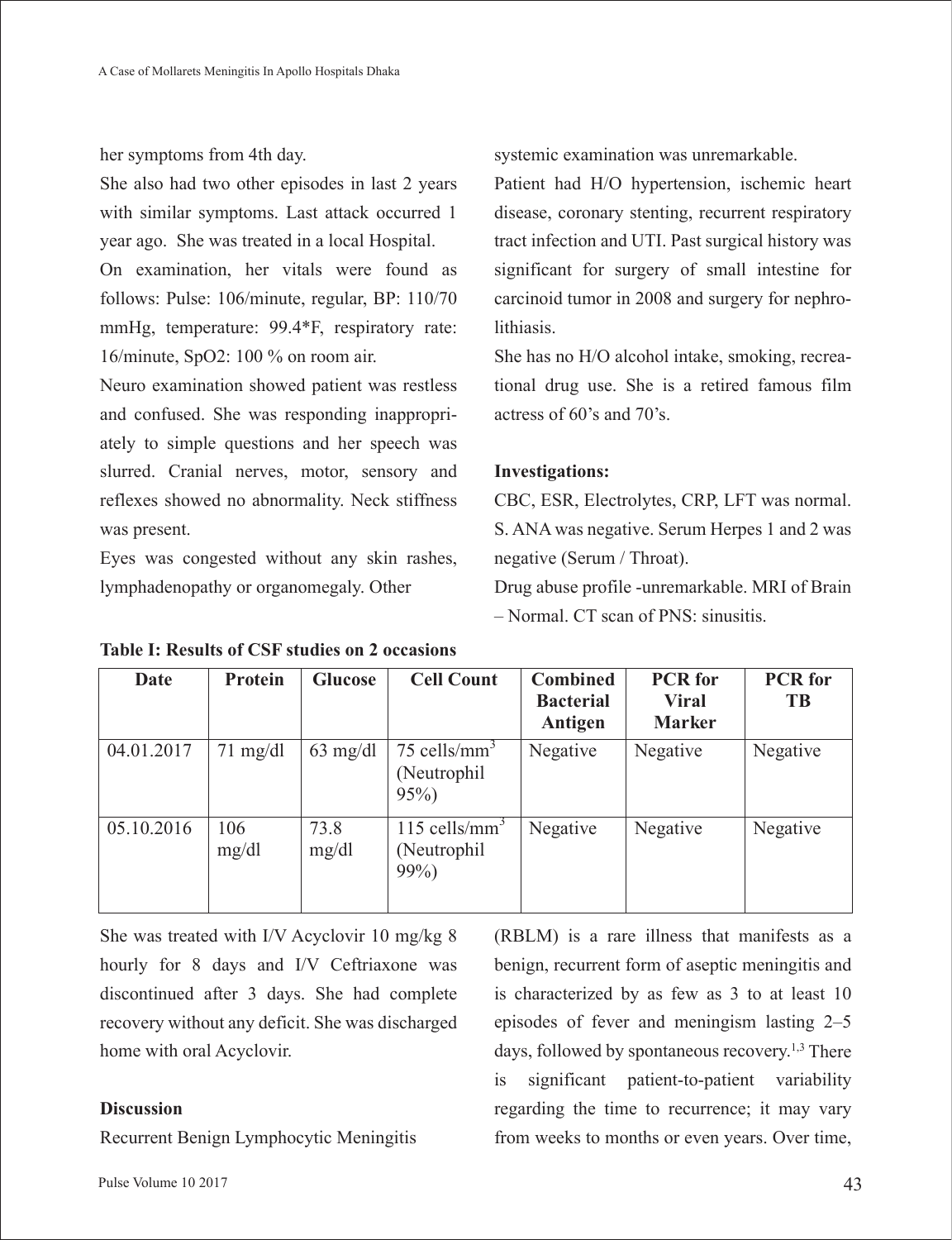her symptoms from 4th day.

She also had two other episodes in last 2 years with similar symptoms. Last attack occurred 1 year ago. She was treated in a local Hospital.

On examination, her vitals were found as follows: Pulse: 106/minute, regular, BP: 110/70 mmHg, temperature: 99.4\*F, respiratory rate: 16/minute, SpO2: 100 % on room air.

Neuro examination showed patient was restless and confused. She was responding inappropriately to simple questions and her speech was slurred. Cranial nerves, motor, sensory and reflexes showed no abnormality. Neck stiffness was present.

Eyes was congested without any skin rashes, lymphadenopathy or organomegaly. Other

systemic examination was unremarkable.

Patient had H/O hypertension, ischemic heart disease, coronary stenting, recurrent respiratory tract infection and UTI. Past surgical history was significant for surgery of small intestine for carcinoid tumor in 2008 and surgery for nephrolithiasis.

She has no H/O alcohol intake, smoking, recreational drug use. She is a retired famous film actress of 60's and 70's.

# **Investigations:**

CBC, ESR, Electrolytes, CRP, LFT was normal. S. ANA was negative. Serum Herpes 1 and 2 was negative (Serum / Throat).

Drug abuse profile -unremarkable. MRI of Brain – Normal. CT scan of PNS: sinusitis.

| Date       | Protein            | Glucose            | <b>Cell Count</b>                                      | <b>Combined</b><br><b>Bacterial</b><br>Antigen | <b>PCR</b> for<br><b>Viral</b><br><b>Marker</b> | <b>PCR</b> for<br>TB |
|------------|--------------------|--------------------|--------------------------------------------------------|------------------------------------------------|-------------------------------------------------|----------------------|
| 04.01.2017 | $71 \text{ mg/dl}$ | $63 \text{ mg/dl}$ | 75 cells/mm <sup>3</sup><br>(Neutrophil)<br>$95\%$     | Negative                                       | Negative                                        | Negative             |
| 05.10.2016 | 106<br>mg/dl       | 73.8<br>mg/dl      | $115$ cells/mm <sup>3</sup><br>(Neutrophil)<br>$99\%)$ | Negative                                       | Negative                                        | Negative             |

**Table I: Results of CSF studies on 2 occasions**

She was treated with I/V Acyclovir 10 mg/kg 8 hourly for 8 days and I/V Ceftriaxone was discontinued after 3 days. She had complete recovery without any deficit. She was discharged home with oral Acyclovir.

## **Discussion**

Recurrent Benign Lymphocytic Meningitis

(RBLM) is a rare illness that manifests as a benign, recurrent form of aseptic meningitis and is characterized by as few as 3 to at least 10 episodes of fever and meningism lasting 2–5 days, followed by spontaneous recovery.<sup>1,3</sup> There is significant patient-to-patient variability regarding the time to recurrence; it may vary from weeks to months or even years. Over time,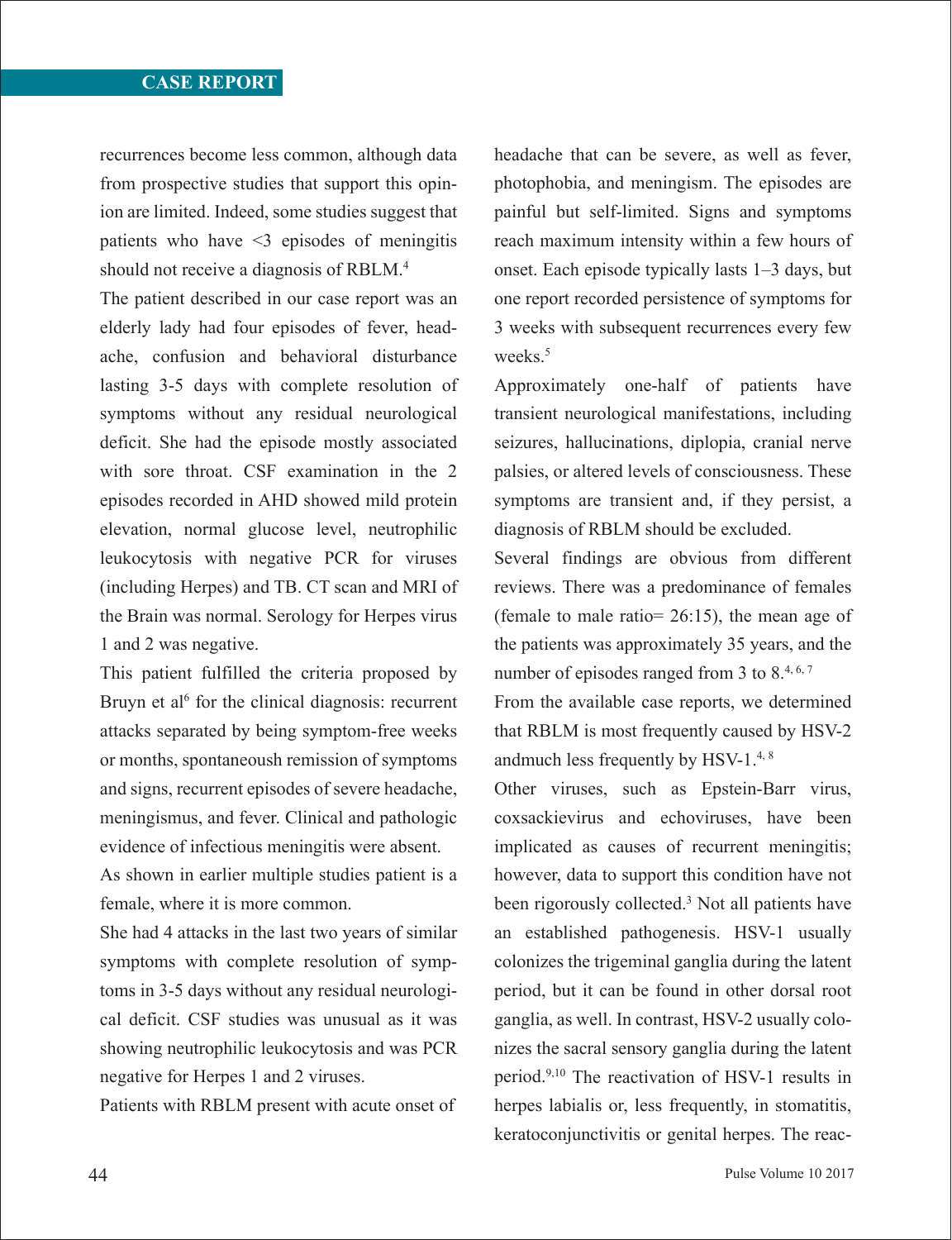recurrences become less common, although data from prospective studies that support this opinion are limited. Indeed, some studies suggest that patients who have <3 episodes of meningitis should not receive a diagnosis of RBLM.4

The patient described in our case report was an elderly lady had four episodes of fever, headache, confusion and behavioral disturbance lasting 3-5 days with complete resolution of symptoms without any residual neurological deficit. She had the episode mostly associated with sore throat. CSF examination in the 2 episodes recorded in AHD showed mild protein elevation, normal glucose level, neutrophilic leukocytosis with negative PCR for viruses (including Herpes) and TB. CT scan and MRI of the Brain was normal. Serology for Herpes virus 1 and 2 was negative.

This patient fulfilled the criteria proposed by Bruyn et al<sup> $6$ </sup> for the clinical diagnosis: recurrent attacks separated by being symptom-free weeks or months, spontaneoush remission of symptoms and signs, recurrent episodes of severe headache, meningismus, and fever. Clinical and pathologic evidence of infectious meningitis were absent.

As shown in earlier multiple studies patient is a female, where it is more common.

She had 4 attacks in the last two years of similar symptoms with complete resolution of symptoms in 3-5 days without any residual neurological deficit. CSF studies was unusual as it was showing neutrophilic leukocytosis and was PCR negative for Herpes 1 and 2 viruses.

Patients with RBLM present with acute onset of

headache that can be severe, as well as fever, photophobia, and meningism. The episodes are painful but self-limited. Signs and symptoms reach maximum intensity within a few hours of onset. Each episode typically lasts 1–3 days, but one report recorded persistence of symptoms for 3 weeks with subsequent recurrences every few weeks.<sup>5</sup>

Approximately one-half of patients have transient neurological manifestations, including seizures, hallucinations, diplopia, cranial nerve palsies, or altered levels of consciousness. These symptoms are transient and, if they persist, a diagnosis of RBLM should be excluded.

Several findings are obvious from different reviews. There was a predominance of females (female to male ratio= 26:15), the mean age of the patients was approximately 35 years, and the number of episodes ranged from 3 to 8.4, 6,7

From the available case reports, we determined that RBLM is most frequently caused by HSV-2 andmuch less frequently by HSV-1.4, 8

Other viruses, such as Epstein-Barr virus, coxsackievirus and echoviruses, have been implicated as causes of recurrent meningitis; however, data to support this condition have not been rigorously collected.3 Not all patients have an established pathogenesis. HSV-1 usually colonizes the trigeminal ganglia during the latent period, but it can be found in other dorsal root ganglia, as well. In contrast, HSV-2 usually colonizes the sacral sensory ganglia during the latent period.9,10 The reactivation of HSV-1 results in herpes labialis or, less frequently, in stomatitis, keratoconjunctivitis or genital herpes. The reac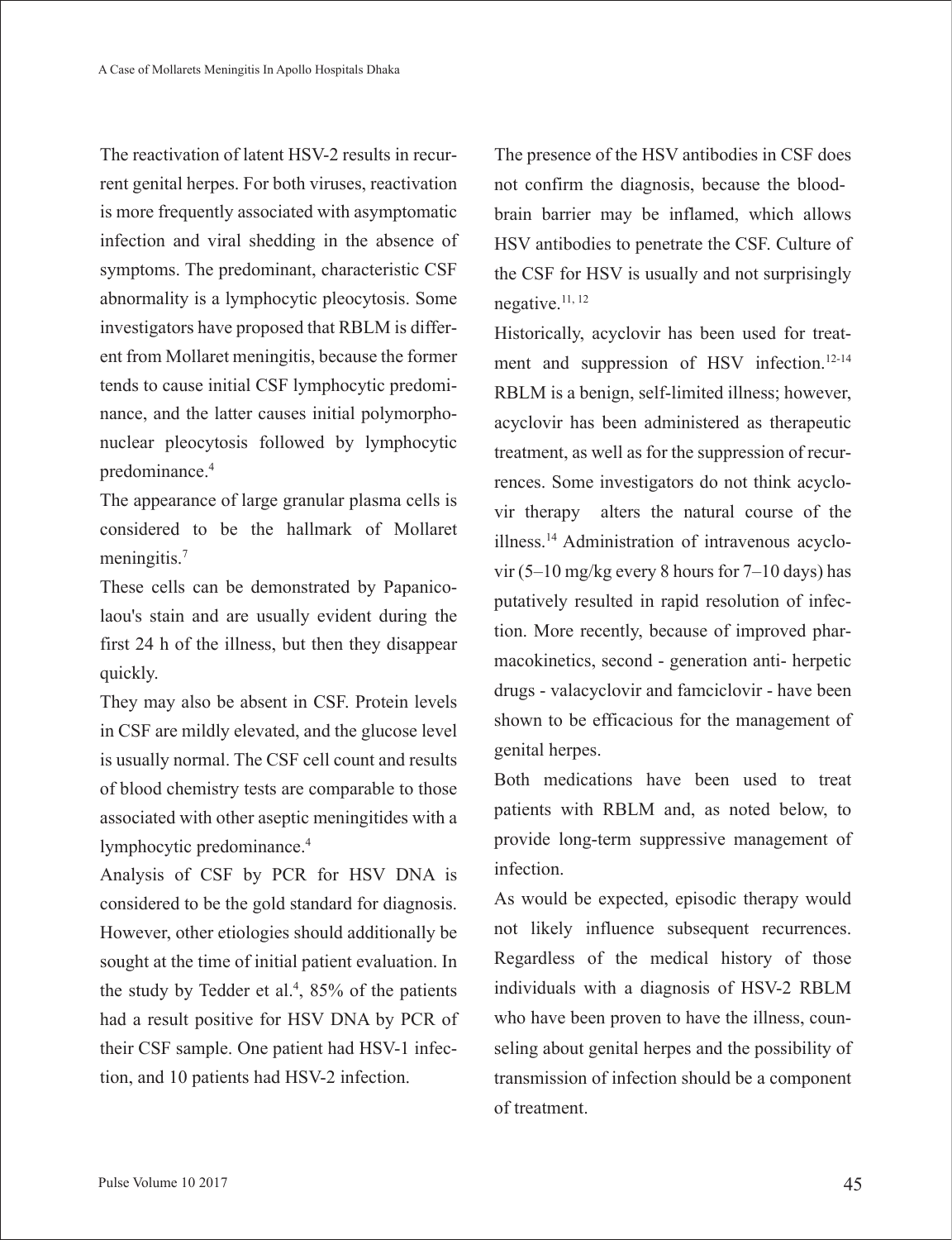The reactivation of latent HSV-2 results in recurrent genital herpes. For both viruses, reactivation is more frequently associated with asymptomatic infection and viral shedding in the absence of symptoms. The predominant, characteristic CSF abnormality is a lymphocytic pleocytosis. Some investigators have proposed that RBLM is different from Mollaret meningitis, because the former tends to cause initial CSF lymphocytic predominance, and the latter causes initial polymorphonuclear pleocytosis followed by lymphocytic predominance.4

The appearance of large granular plasma cells is considered to be the hallmark of Mollaret meningitis.<sup>7</sup>

These cells can be demonstrated by Papanicolaou's stain and are usually evident during the first 24 h of the illness, but then they disappear quickly.

They may also be absent in CSF. Protein levels in CSF are mildly elevated, and the glucose level is usually normal. The CSF cell count and results of blood chemistry tests are comparable to those associated with other aseptic meningitides with a lymphocytic predominance.4

Analysis of CSF by PCR for HSV DNA is considered to be the gold standard for diagnosis. However, other etiologies should additionally be sought at the time of initial patient evaluation. In the study by Tedder et al.<sup>4</sup>, 85% of the patients had a result positive for HSV DNA by PCR of their CSF sample. One patient had HSV-1 infection, and 10 patients had HSV-2 infection.

The presence of the HSV antibodies in CSF does not confirm the diagnosis, because the bloodbrain barrier may be inflamed, which allows HSV antibodies to penetrate the CSF. Culture of the CSF for HSV is usually and not surprisingly negative.11, 12

Historically, acyclovir has been used for treatment and suppression of HSV infection.<sup>12-14</sup> RBLM is a benign, self-limited illness; however, acyclovir has been administered as therapeutic treatment, as well as for the suppression of recurrences. Some investigators do not think acyclovir therapy alters the natural course of the illness.14 Administration of intravenous acyclovir (5–10 mg/kg every 8 hours for 7–10 days) has putatively resulted in rapid resolution of infection. More recently, because of improved pharmacokinetics, second - generation anti- herpetic drugs - valacyclovir and famciclovir - have been shown to be efficacious for the management of genital herpes.

Both medications have been used to treat patients with RBLM and, as noted below, to provide long-term suppressive management of infection.

As would be expected, episodic therapy would not likely influence subsequent recurrences. Regardless of the medical history of those individuals with a diagnosis of HSV-2 RBLM who have been proven to have the illness, counseling about genital herpes and the possibility of transmission of infection should be a component of treatment.